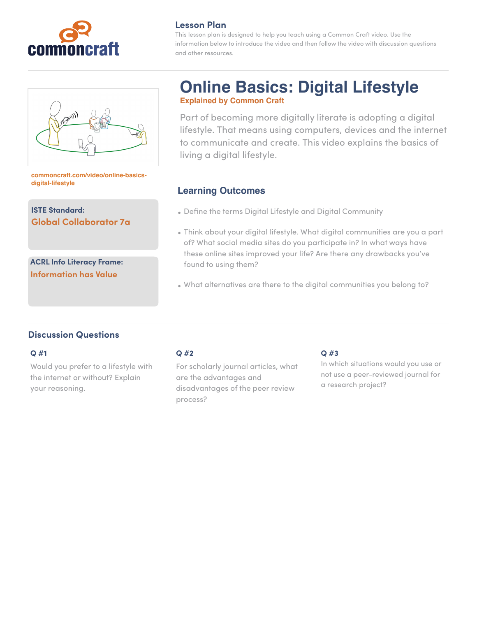

### **Lesson Plan**

This lesson plan is designed to help you teach using a Common Craft video. Use the information below to introduce the video and then follow the video with discussion questions and other resources.



#### **[commoncraft.com/video/online-basics](http://commoncraft.com/video/fair-use)[digital-lifestyle](http://commoncraft.com/video/fair-use)**

**ISTE Standard: Global Collaborator 7a**

**ACRL Info Literacy Frame: Information has Value**

# **Online Basics: Digital Lifestyle Explained by Common Craft**

Part of becoming more digitally literate is adopting a digital lifestyle. That means using computers, devices and the internet to communicate and create. This video explains the basics of living a digital lifestyle.

# **Learning Outcomes**

- Define the terms Digital Lifestyle and Digital Community
- Think about your digital lifestyle. What digital communities are you a part of? What social media sites do you participate in? In what ways have these online sites improved your life? Are there any drawbacks you've found to using them?
- What alternatives are there to the digital communities you belong to?

## **Discussion Questions**

#### **Q #1**

Would you prefer to a lifestyle with the internet or without? Explain your reasoning.

## **Q #2**

For scholarly journal articles, what are the advantages and disadvantages of the peer review process?

### **Q #3**

In which situations would you use or not use a peer-reviewed journal for a research project?